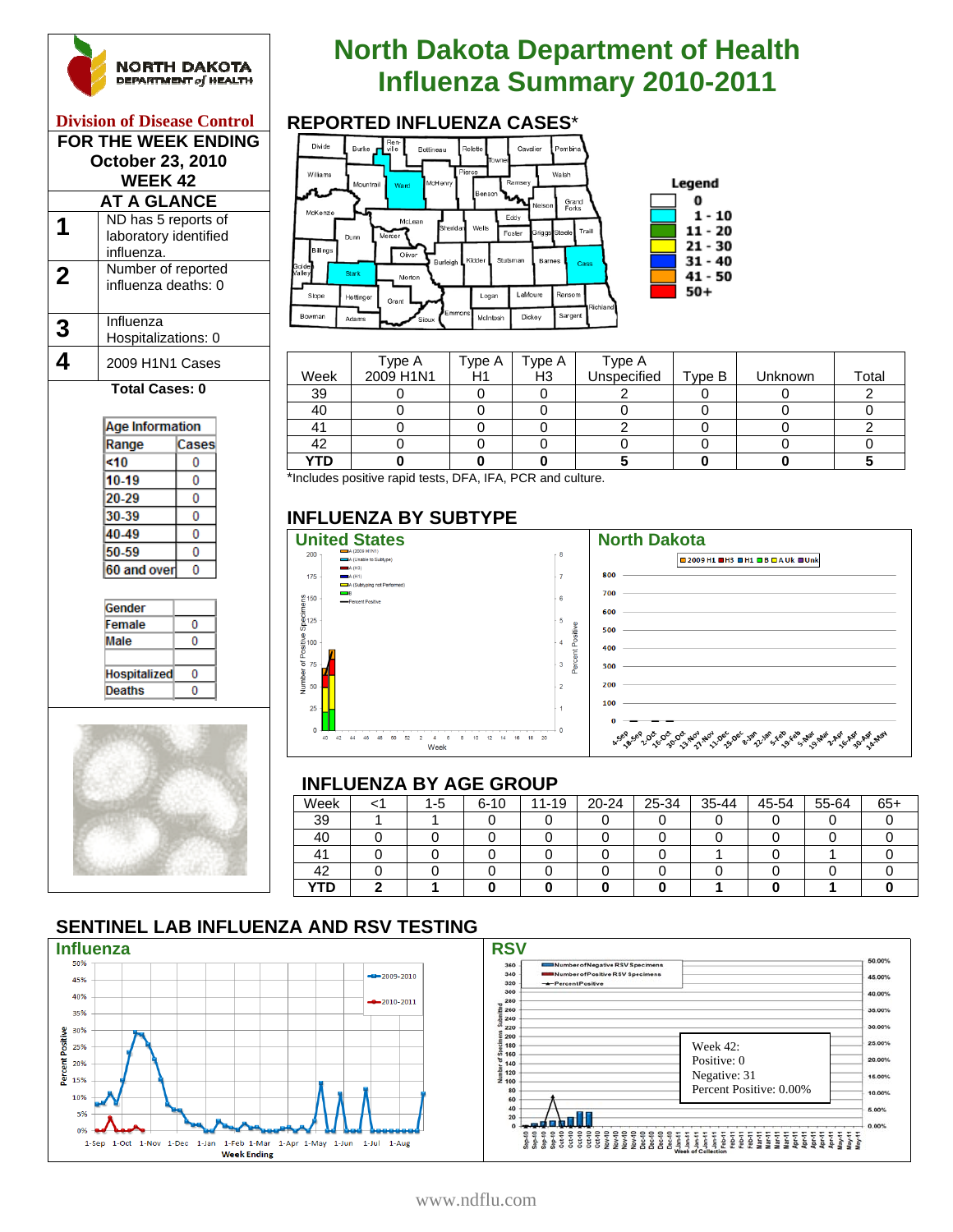

#### **Division of Disease Control FOR THE WEEK ENDING October 23, 2010 WEEK 42 AT A GLANCE**

|   | ND has 5 reports of<br>laboratory identified<br>influenza. |
|---|------------------------------------------------------------|
| 2 | Number of reported<br>influenza deaths: 0                  |
| 3 | Influenza<br>Hospitalizations: 0                           |
|   | 2009 H1N1 Cases                                            |

#### **Total Cases: 0**

| Age Information |       |  |  |  |
|-----------------|-------|--|--|--|
| Range           | Cases |  |  |  |
| <10             | 0     |  |  |  |
| 10-19           | п     |  |  |  |
| 20-29           | O     |  |  |  |
| 30-39           | П     |  |  |  |
| 40.49           | 0     |  |  |  |
| 50-59           |       |  |  |  |
| 60 and over     | Ω     |  |  |  |
|                 |       |  |  |  |





# **North Dakota Department of Health INGRTH DAKOTA**<br>
Influenza Summary 2010-2011<br>
Influenza Cases<sup>\*</sup>



|      | Type A    | Type A | Type A | Type A      |        |         |       |
|------|-----------|--------|--------|-------------|--------|---------|-------|
| Week | 2009 H1N1 | H1     | H3     | Unspecified | Type B | Unknown | Total |
| 39   |           |        |        |             |        |         |       |
| 40   |           |        |        |             |        |         |       |
| 41   |           |        |        |             |        |         |       |
| 42   |           |        |        |             |        |         |       |
| YTD  |           |        |        |             |        |         |       |

\*Includes positive rapid tests, DFA, IFA, PCR and culture.

#### **INFLUENZA BY SUBTYPE**



|     | <b>■2009H1 ■H3 ■H1 ■B ■AUk ■Unk</b>                                                                            |
|-----|----------------------------------------------------------------------------------------------------------------|
| 800 |                                                                                                                |
| 700 |                                                                                                                |
| 600 | the control of the control of the control of                                                                   |
| 500 |                                                                                                                |
| 400 |                                                                                                                |
| 300 |                                                                                                                |
| 200 |                                                                                                                |
| 100 | and the state of the state of the state of the state of the state of the state of the state of the state of th |
|     |                                                                                                                |

#### **INFLUENZA BY AGE GROUP**

|      |     |          | - - - |       |       |       |       |       |       |
|------|-----|----------|-------|-------|-------|-------|-------|-------|-------|
| Week | 1-5 | $6 - 10$ | 11-19 | 20-24 | 25-34 | 35-44 | 45-54 | 55-64 | $65+$ |
| 39   |     |          |       |       |       |       |       |       |       |
| 40   |     |          |       |       |       |       |       |       |       |
| 41   |     |          |       |       |       |       |       |       |       |
| 42   |     |          |       |       |       |       |       |       |       |
| YTD  |     |          |       |       |       |       |       |       |       |

### **SENTINEL LAB INFLUENZA AND RSV TESTING**



| 360        | Number of Negative RSV Specimens |                         | 50.00% |
|------------|----------------------------------|-------------------------|--------|
| 340        | Number of Positive RSV Specimens |                         | 45.00% |
| 320        | -Percent Positive                |                         |        |
| 300        |                                  |                         | 40.00% |
| 280        |                                  |                         |        |
| 260<br>240 |                                  |                         | 35.00% |
| 220        |                                  |                         | 30.00% |
| 200        |                                  |                         | 25.00% |
| 180<br>160 |                                  | Week $42:$              |        |
| 140        |                                  | Positive: 0             | 20.00% |
| 120        |                                  |                         |        |
| 100        |                                  | Negative: 31            | 15.00% |
| 80         |                                  | Percent Positive: 0.00% | 10.00% |
| 60         |                                  |                         |        |
| 40         |                                  |                         | 5.00%  |
| 20         |                                  |                         |        |
| ō          |                                  |                         | 0.00%  |